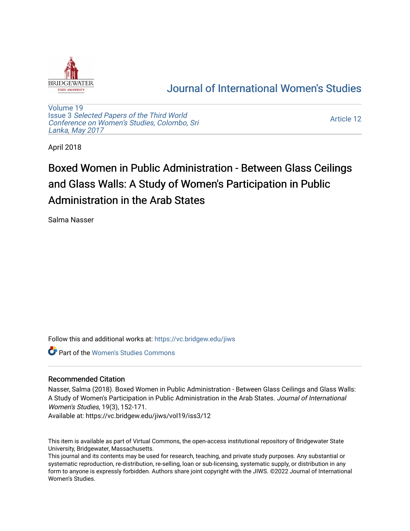

## [Journal of International Women's Studies](https://vc.bridgew.edu/jiws)

[Volume 19](https://vc.bridgew.edu/jiws/vol19) Issue 3 [Selected Papers of the Third World](https://vc.bridgew.edu/jiws/vol19/iss3) [Conference on Women's Studies, Colombo, Sri](https://vc.bridgew.edu/jiws/vol19/iss3)  [Lanka, May 2017](https://vc.bridgew.edu/jiws/vol19/iss3) 

[Article 12](https://vc.bridgew.edu/jiws/vol19/iss3/12) 

April 2018

# Boxed Women in Public Administration - Between Glass Ceilings and Glass Walls: A Study of Women's Participation in Public Administration in the Arab States

Salma Nasser

Follow this and additional works at: [https://vc.bridgew.edu/jiws](https://vc.bridgew.edu/jiws?utm_source=vc.bridgew.edu%2Fjiws%2Fvol19%2Fiss3%2F12&utm_medium=PDF&utm_campaign=PDFCoverPages)

**C** Part of the Women's Studies Commons

#### Recommended Citation

Nasser, Salma (2018). Boxed Women in Public Administration - Between Glass Ceilings and Glass Walls: A Study of Women's Participation in Public Administration in the Arab States. Journal of International Women's Studies, 19(3), 152-171.

Available at: https://vc.bridgew.edu/jiws/vol19/iss3/12

This item is available as part of Virtual Commons, the open-access institutional repository of Bridgewater State University, Bridgewater, Massachusetts.

This journal and its contents may be used for research, teaching, and private study purposes. Any substantial or systematic reproduction, re-distribution, re-selling, loan or sub-licensing, systematic supply, or distribution in any form to anyone is expressly forbidden. Authors share joint copyright with the JIWS. ©2022 Journal of International Women's Studies.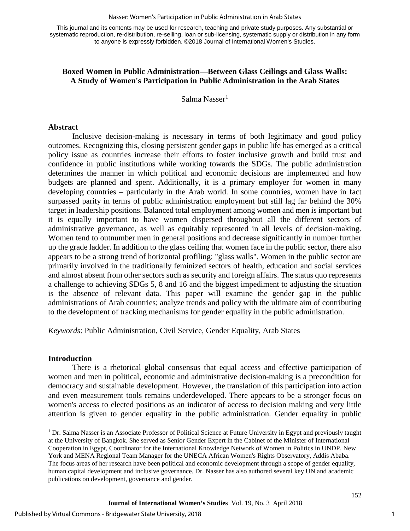#### Nasser: Women's Participation in Public Administration in Arab States

This journal and its contents may be used for research, teaching and private study purposes. Any substantial or systematic reproduction, re-distribution, re-selling, loan or sub-licensing, systematic supply or distribution in any form to anyone is expressly forbidden. ©2018 Journal of International Women's Studies.

#### **Boxed Women in Public Administration—Between Glass Ceilings and Glass Walls: A Study of Women's Participation in Public Administration in the Arab States**

 $Salma Nasser<sup>1</sup>$  $Salma Nasser<sup>1</sup>$  $Salma Nasser<sup>1</sup>$ 

#### **Abstract**

Inclusive decision-making is necessary in terms of both legitimacy and good policy outcomes. Recognizing this, closing persistent gender gaps in public life has emerged as a critical policy issue as countries increase their efforts to foster inclusive growth and build trust and confidence in public institutions while working towards the SDGs. The public administration determines the manner in which political and economic decisions are implemented and how budgets are planned and spent. Additionally, it is a primary employer for women in many developing countries – particularly in the Arab world. In some countries, women have in fact surpassed parity in terms of public administration employment but still lag far behind the 30% target in leadership positions. Balanced total employment among women and men is important but it is equally important to have women dispersed throughout all the different sectors of administrative governance, as well as equitably represented in all levels of decision-making. Women tend to outnumber men in general positions and decrease significantly in number further up the grade ladder. In addition to the glass ceiling that women face in the public sector, there also appears to be a strong trend of horizontal profiling: "glass walls". Women in the public sector are primarily involved in the traditionally feminized sectors of health, education and social services and almost absent from other sectors such as security and foreign affairs. The status quo represents a challenge to achieving SDGs 5, 8 and 16 and the biggest impediment to adjusting the situation is the absence of relevant data. This paper will examine the gender gap in the public administrations of Arab countries; analyze trends and policy with the ultimate aim of contributing to the development of tracking mechanisms for gender equality in the public administration.

*Keywords*: Public Administration, Civil Service, Gender Equality, Arab States

#### **Introduction**

 $\overline{a}$ 

There is a rhetorical global consensus that equal access and effective participation of women and men in political, economic and administrative decision-making is a precondition for democracy and sustainable development. However, the translation of this participation into action and even measurement tools remains underdeveloped. There appears to be a stronger focus on women's access to elected positions as an indicator of access to decision making and very little attention is given to gender equality in the public administration. Gender equality in public

<span id="page-1-0"></span><sup>&</sup>lt;sup>1</sup> Dr. Salma Nasser is an Associate Professor of Political Science at Future University in Egypt and previously taught at the University of Bangkok. She served as Senior Gender Expert in the Cabinet of the Minister of International Cooperation in Egypt, Coordinator for the International Knowledge Network of Women in Politics in UNDP, New York and MENA Regional Team Manager for the UNECA African Women's Rights Observatory, Addis Ababa. The focus areas of her research have been political and economic development through a scope of gender equality, human capital development and inclusive governance. Dr. Nasser has also authored several key UN and academic publications on development, governance and gender.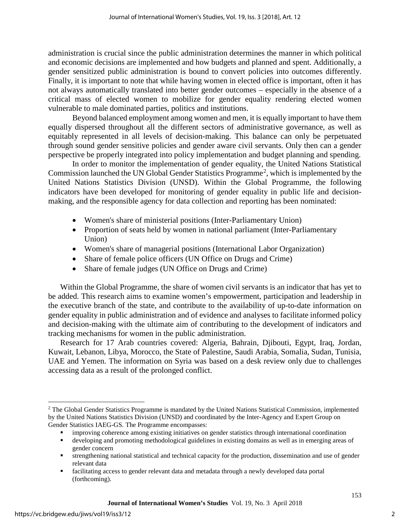administration is crucial since the public administration determines the manner in which political and economic decisions are implemented and how budgets and planned and spent. Additionally, a gender sensitized public administration is bound to convert policies into outcomes differently. Finally, it is important to note that while having women in elected office is important, often it has not always automatically translated into better gender outcomes – especially in the absence of a critical mass of elected women to mobilize for gender equality rendering elected women vulnerable to male dominated parties, politics and institutions.

Beyond balanced employment among women and men, it is equally important to have them equally dispersed throughout all the different sectors of administrative governance, as well as equitably represented in all levels of decision-making. This balance can only be perpetuated through sound gender sensitive policies and gender aware civil servants. Only then can a gender perspective be properly integrated into policy implementation and budget planning and spending.

In order to monitor the implementation of gender equality, the United Nations Statistical Commission launched the UN Global Gender Statistics Programme<sup>[2](#page-2-0)</sup>, which is implemented by the United Nations Statistics Division (UNSD). Within the Global Programme, the following indicators have been developed for monitoring of gender equality in public life and decisionmaking, and the responsible agency for data collection and reporting has been nominated:

- Women's share of ministerial positions (Inter-Parliamentary Union)
- Proportion of seats held by women in national parliament (Inter-Parliamentary Union)
- Women's share of managerial positions (International Labor Organization)
- Share of female police officers (UN Office on Drugs and Crime)
- Share of female judges (UN Office on Drugs and Crime)

Within the Global Programme, the share of women civil servants is an indicator that has yet to be added. This research aims to examine women's empowerment, participation and leadership in the executive branch of the state, and contribute to the availability of up-to-date information on gender equality in public administration and of evidence and analyses to facilitate informed policy and decision-making with the ultimate aim of contributing to the development of indicators and tracking mechanisms for women in the public administration.

Research for 17 Arab countries covered: Algeria, Bahrain, Djibouti, Egypt, Iraq, Jordan, Kuwait, Lebanon, Libya, Morocco, the State of Palestine, Saudi Arabia, Somalia, Sudan, Tunisia, UAE and Yemen. The information on Syria was based on a desk review only due to challenges accessing data as a result of the prolonged conflict.

 $\overline{a}$ 

<span id="page-2-0"></span><sup>&</sup>lt;sup>2</sup> The Global Gender Statistics Programme is mandated by the United Nations Statistical Commission, implemented by the United Nations Statistics Division (UNSD) and coordinated by the Inter-Agency and Expert Group on Gender Statistics IAEG-GS. The Programme encompasses:

improving coherence among existing initiatives on gender statistics through international coordination

developing and promoting methodological guidelines in existing domains as well as in emerging areas of gender concern

strengthening national statistical and technical capacity for the production, dissemination and use of gender relevant data

facilitating access to gender relevant data and metadata through a newly developed data portal (forthcoming).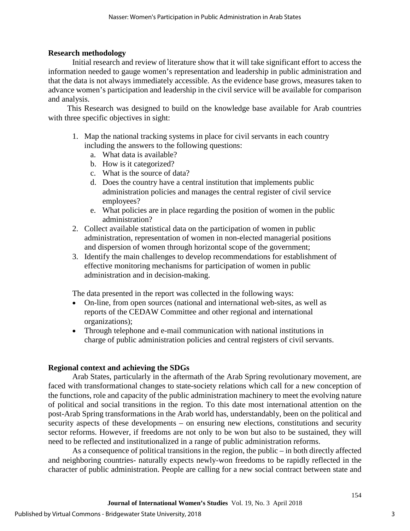#### **Research methodology**

Initial research and review of literature show that it will take significant effort to access the information needed to gauge women's representation and leadership in public administration and that the data is not always immediately accessible. As the evidence base grows, measures taken to advance women's participation and leadership in the civil service will be available for comparison and analysis.

This Research was designed to build on the knowledge base available for Arab countries with three specific objectives in sight:

- 1. Map the national tracking systems in place for civil servants in each country including the answers to the following questions:
	- a. What data is available?
	- b. How is it categorized?
	- c. What is the source of data?
	- d. Does the country have a central institution that implements public administration policies and manages the central register of civil service employees?
	- e. What policies are in place regarding the position of women in the public administration?
- 2. Collect available statistical data on the participation of women in public administration, representation of women in non-elected managerial positions and dispersion of women through horizontal scope of the government;
- 3. Identify the main challenges to develop recommendations for establishment of effective monitoring mechanisms for participation of women in public administration and in decision-making.

The data presented in the report was collected in the following ways:

- On-line, from open sources (national and international web-sites, as well as reports of the CEDAW Committee and other regional and international organizations);
- Through telephone and e-mail communication with national institutions in charge of public administration policies and central registers of civil servants.

### **Regional context and achieving the SDGs**

Arab States, particularly in the aftermath of the Arab Spring revolutionary movement, are faced with transformational changes to state-society relations which call for a new conception of the functions, role and capacity of the public administration machinery to meet the evolving nature of political and social transitions in the region. To this date most international attention on the post-Arab Spring transformations in the Arab world has, understandably, been on the political and security aspects of these developments – on ensuring new elections, constitutions and security sector reforms. However, if freedoms are not only to be won but also to be sustained, they will need to be reflected and institutionalized in a range of public administration reforms.

As a consequence of political transitions in the region, the public – in both directly affected and neighboring countries- naturally expects newly-won freedoms to be rapidly reflected in the character of public administration. People are calling for a new social contract between state and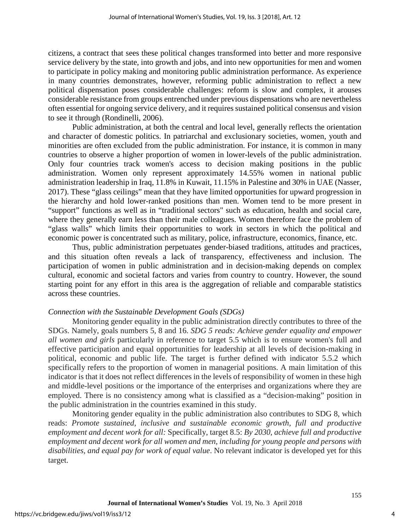citizens, a contract that sees these political changes transformed into better and more responsive service delivery by the state, into growth and jobs, and into new opportunities for men and women to participate in policy making and monitoring public administration performance. As experience in many countries demonstrates, however, reforming public administration to reflect a new political dispensation poses considerable challenges: reform is slow and complex, it arouses considerable resistance from groups entrenched under previous dispensations who are nevertheless often essential for ongoing service delivery, and it requires sustained political consensus and vision to see it through (Rondinelli, 2006).

Public administration, at both the central and local level, generally reflects the orientation and character of domestic politics. In patriarchal and exclusionary societies, women, youth and minorities are often excluded from the public administration. For instance, it is common in many countries to observe a higher proportion of women in lower-levels of the public administration. Only four countries track women's access to decision making positions in the public administration. Women only represent approximately 14.55% women in national public administration leadership in Iraq, 11.8% in Kuwait, 11.15% in Palestine and 30% in UAE (Nasser, 2017). These "glass ceilings" mean that they have limited opportunities for upward progression in the hierarchy and hold lower-ranked positions than men. Women tend to be more present in "support" functions as well as in "traditional sectors" such as education, health and social care, where they generally earn less than their male colleagues. Women therefore face the problem of "glass walls" which limits their opportunities to work in sectors in which the political and economic power is concentrated such as military, police, infrastructure, economics, finance, etc.

Thus, public administration perpetuates gender-biased traditions, attitudes and practices, and this situation often reveals a lack of transparency, effectiveness and inclusion. The participation of women in public administration and in decision-making depends on complex cultural, economic and societal factors and varies from country to country. However, the sound starting point for any effort in this area is the aggregation of reliable and comparable statistics across these countries.

#### *Connection with the Sustainable Development Goals (SDGs)*

Monitoring gender equality in the public administration directly contributes to three of the SDGs. Namely, goals numbers 5, 8 and 16. *SDG 5 reads: Achieve gender equality and empower all women and girls* particularly in reference to target 5.5 which is to ensure women's full and effective participation and equal opportunities for leadership at all levels of decision-making in political, economic and public life. The target is further defined with indicator 5.5.2 which specifically refers to the proportion of women in managerial positions. A main limitation of this indicator is that it does not reflect differences in the levels of responsibility of women in these high and middle-level positions or the importance of the enterprises and organizations where they are employed. There is no consistency among what is classified as a "decision-making" position in the public administration in the countries examined in this study.

Monitoring gender equality in the public administration also contributes to SDG 8, which reads: *Promote sustained, inclusive and sustainable economic growth, full and productive employment and decent work for all:* Specifically, target 8.5: *By 2030, achieve full and productive employment and decent work for all women and men, including for young people and persons with disabilities, and equal pay for work of equal value*. No relevant indicator is developed yet for this target.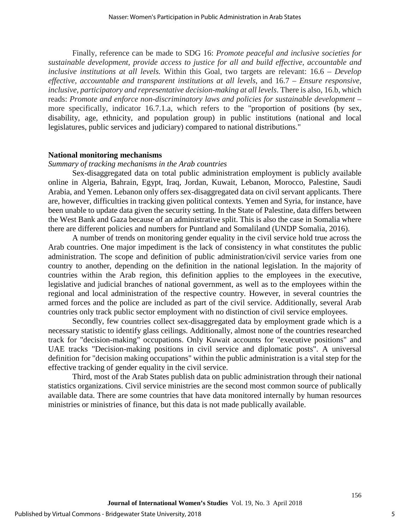Finally, reference can be made to SDG 16: *Promote peaceful and inclusive societies for sustainable development, provide access to justice for all and build effective, accountable and inclusive institutions at all levels.* Within this Goal, two targets are relevant: 16.6 – *Develop effective, accountable and transparent institutions at all levels*, and 16.7 – *Ensure responsive, inclusive, participatory and representative decision-making at all levels*. There is also, 16.b, which reads: *Promote and enforce non-discriminatory laws and policies for sustainable development* – more specifically, indicator 16.7.1.a, which refers to the "proportion of positions (by sex, disability, age, ethnicity, and population group) in public institutions (national and local legislatures, public services and judiciary) compared to national distributions."

#### **National monitoring mechanisms**

#### *Summary of tracking mechanisms in the Arab countries*

Sex-disaggregated data on total public administration employment is publicly available online in Algeria, Bahrain, Egypt, Iraq, Jordan, Kuwait, Lebanon, Morocco, Palestine, Saudi Arabia, and Yemen. Lebanon only offers sex-disaggregated data on civil servant applicants. There are, however, difficulties in tracking given political contexts. Yemen and Syria, for instance, have been unable to update data given the security setting. In the State of Palestine, data differs between the West Bank and Gaza because of an administrative split. This is also the case in Somalia where there are different policies and numbers for Puntland and Somaliland (UNDP Somalia, 2016).

A number of trends on monitoring gender equality in the civil service hold true across the Arab countries. One major impediment is the lack of consistency in what constitutes the public administration. The scope and definition of public administration/civil service varies from one country to another, depending on the definition in the national legislation. In the majority of countries within the Arab region, this definition applies to the employees in the executive, legislative and judicial branches of national government, as well as to the employees within the regional and local administration of the respective country. However, in several countries the armed forces and the police are included as part of the civil service. Additionally, several Arab countries only track public sector employment with no distinction of civil service employees.

Secondly, few countries collect sex-disaggregated data by employment grade which is a necessary statistic to identify glass ceilings. Additionally, almost none of the countries researched track for "decision-making" occupations. Only Kuwait accounts for "executive positions" and UAE tracks "Decision-making positions in civil service and diplomatic posts". A universal definition for "decision making occupations" within the public administration is a vital step for the effective tracking of gender equality in the civil service.

Third, most of the Arab States publish data on public administration through their national statistics organizations. Civil service ministries are the second most common source of publically available data. There are some countries that have data monitored internally by human resources ministries or ministries of finance, but this data is not made publically available.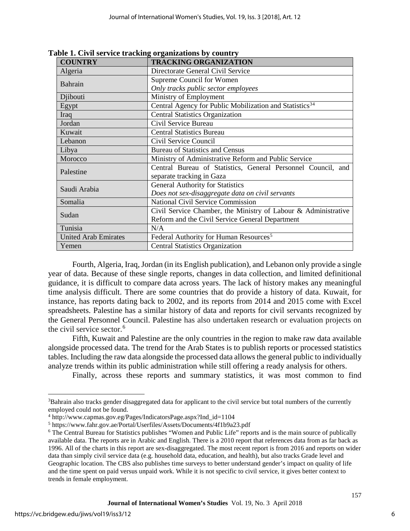| <b>COUNTRY</b>              | <b>TRACKING ORGANIZATION</b>                                        |  |  |
|-----------------------------|---------------------------------------------------------------------|--|--|
| Algeria                     | Directorate General Civil Service                                   |  |  |
| Bahrain                     | Supreme Council for Women                                           |  |  |
|                             | Only tracks public sector employees                                 |  |  |
| Djibouti                    | Ministry of Employment                                              |  |  |
| Egypt                       | Central Agency for Public Mobilization and Statistics <sup>34</sup> |  |  |
| Iraq                        | <b>Central Statistics Organization</b>                              |  |  |
| Jordan                      | Civil Service Bureau                                                |  |  |
| Kuwait                      | <b>Central Statistics Bureau</b>                                    |  |  |
| Lebanon                     | Civil Service Council                                               |  |  |
| Libya                       | <b>Bureau of Statistics and Census</b>                              |  |  |
| Morocco                     | Ministry of Administrative Reform and Public Service                |  |  |
| Palestine                   | Central Bureau of Statistics, General Personnel Council, and        |  |  |
|                             | separate tracking in Gaza                                           |  |  |
| Saudi Arabia                | <b>General Authority for Statistics</b>                             |  |  |
|                             | Does not sex-disaggregate data on civil servants                    |  |  |
| Somalia                     | <b>National Civil Service Commission</b>                            |  |  |
| Sudan                       | Civil Service Chamber, the Ministry of Labour & Administrative      |  |  |
|                             | Reform and the Civil Service General Department                     |  |  |
| Tunisia                     | N/A                                                                 |  |  |
| <b>United Arab Emirates</b> | Federal Authority for Human Resources <sup>5</sup>                  |  |  |
| Yemen                       | <b>Central Statistics Organization</b>                              |  |  |

**Table 1. Civil service tracking organizations by country**

Fourth, Algeria, Iraq, Jordan (in its English publication), and Lebanon only provide a single year of data. Because of these single reports, changes in data collection, and limited definitional guidance, it is difficult to compare data across years. The lack of history makes any meaningful time analysis difficult. There are some countries that do provide a history of data. Kuwait, for instance, has reports dating back to 2002, and its reports from 2014 and 2015 come with Excel spreadsheets. Palestine has a similar history of data and reports for civil servants recognized by the General Personnel Council. Palestine has also undertaken research or evaluation projects on the civil service sector.[6](#page-6-3)

Fifth, Kuwait and Palestine are the only countries in the region to make raw data available alongside processed data. The trend for the Arab States is to publish reports or processed statistics tables. Including the raw data alongside the processed data allows the general public to individually analyze trends within its public administration while still offering a ready analysis for others.

Finally, across these reports and summary statistics, it was most common to find

 $\overline{a}$ 

<span id="page-6-0"></span><sup>&</sup>lt;sup>3</sup>Bahrain also tracks gender disaggregated data for applicant to the civil service but total numbers of the currently employed could not be found.<br><sup>4</sup> http://www.capmas.gov.eg/Pages/IndicatorsPage.aspx?Ind\_id=1104

<span id="page-6-2"></span><span id="page-6-1"></span> $5$  https://www.fahr.gov.ae/Portal/Userfiles/Assets/Documents/4f1b9a23.pdf

<span id="page-6-3"></span><sup>6</sup> The Central Bureau for Statistics publishes "Women and Public Life" reports and is the main source of publically available data. The reports are in Arabic and English. There is a 2010 report that references data from as far back as 1996. All of the charts in this report are sex-disaggregated. The most recent report is from 2016 and reports on wider data than simply civil service data (e.g. household data, education, and health), but also tracks Grade level and Geographic location. The CBS also publishes time surveys to better understand gender's impact on quality of life and the time spent on paid versus unpaid work. While it is not specific to civil service, it gives better context to trends in female employment.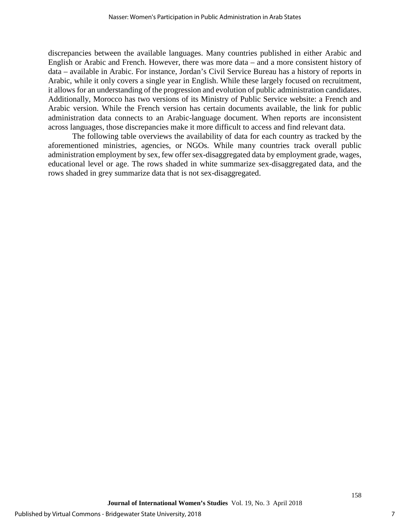discrepancies between the available languages. Many countries published in either Arabic and English or Arabic and French. However, there was more data – and a more consistent history of data – available in Arabic. For instance, Jordan's Civil Service Bureau has a history of reports in Arabic, while it only covers a single year in English. While these largely focused on recruitment, it allows for an understanding of the progression and evolution of public administration candidates. Additionally, Morocco has two versions of its Ministry of Public Service website: a French and Arabic version. While the French version has certain documents available, the link for public administration data connects to an Arabic-language document. When reports are inconsistent across languages, those discrepancies make it more difficult to access and find relevant data.

The following table overviews the availability of data for each country as tracked by the aforementioned ministries, agencies, or NGOs. While many countries track overall public administration employment by sex, few offer sex-disaggregated data by employment grade, wages, educational level or age. The rows shaded in white summarize sex-disaggregated data, and the rows shaded in grey summarize data that is not sex-disaggregated.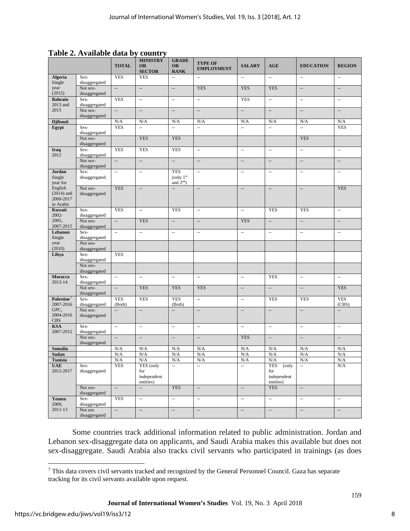**Table 2. Available data by country**

|                                                   |                           | <b>TOTAL</b>             | <b>MINISTRY</b><br><b>OR</b><br><b>SECTOR</b> | <b>GRADE</b><br><b>OR</b><br><b>RANK</b> | <b>TYPE OF</b><br><b>EMPLOYMENT</b> | <b>SALARY</b>            | AGE                                                    | <b>EDUCATION</b>         | <b>REGION</b>            |
|---------------------------------------------------|---------------------------|--------------------------|-----------------------------------------------|------------------------------------------|-------------------------------------|--------------------------|--------------------------------------------------------|--------------------------|--------------------------|
| <b>Algeria</b><br>Single                          | Sex-<br>disaggregated     | <b>YES</b>               | <b>YES</b>                                    | ÷.                                       | u.                                  | ă.                       | u.                                                     | $\sim$                   | ă.                       |
| year<br>(2015)                                    | Not sex-<br>disaggregated | $\overline{\phantom{a}}$ | $\overline{\phantom{a}}$                      | $\bar{\phantom{a}}$                      | <b>YES</b>                          | <b>YES</b>               | <b>YES</b>                                             | $\overline{\phantom{a}}$ | $\overline{\phantom{a}}$ |
| <b>Bahrain</b><br>2013 and                        | Sex-<br>disaggregated     | <b>YES</b>               | $\overline{\phantom{a}}$                      | ÷.                                       | Ц,                                  | <b>YES</b>               | Ξ.                                                     | $\bar{\phantom{a}}$      | ă.                       |
| 2015                                              | Not sex-<br>disaggregated | $\overline{\phantom{a}}$ | u.                                            | $\overline{\phantom{a}}$                 | $\overline{\phantom{a}}$            | $\overline{\phantom{a}}$ | $\overline{\phantom{a}}$                               | $\sim$                   | $\sim$                   |
| <b>Djibouti</b>                                   |                           | N/A                      | N/A                                           | N/A                                      | N/A                                 | N/A                      | N/A                                                    | N/A                      | N/A                      |
| Egypt                                             | Sex-<br>disaggregated     | <b>YES</b>               | u.                                            | u.                                       | u.                                  | u.                       | u.                                                     | u,                       | <b>YES</b>               |
|                                                   | Not sex-<br>disaggregated |                          | <b>YES</b>                                    | <b>YES</b>                               |                                     |                          |                                                        | <b>YES</b>               |                          |
| <b>Iraq</b><br>2012                               | Sex-<br>disaggregated     | <b>YES</b>               | <b>YES</b>                                    | <b>YES</b>                               | ÷.                                  | $\sim$                   | ă.                                                     | $\overline{\phantom{a}}$ | ă.                       |
|                                                   | Not sex-<br>disaggregated | $\overline{\phantom{a}}$ | $\overline{\phantom{a}}$                      | $\overline{\phantom{a}}$                 | $\overline{\phantom{a}}$            | $\overline{\phantom{a}}$ | $\overline{\phantom{a}}$                               | $\overline{\phantom{a}}$ | $\overline{\phantom{a}}$ |
| Jordan                                            | Sex-                      | $\Box$                   | ÷.                                            | <b>YES</b>                               | ÷.                                  | $\sim$                   | u.                                                     | $\mathbb{Z}^2$           | $\mathbb{Z}^2$           |
| Single<br>year for                                | disaggregated             |                          |                                               | (only $1st$<br>and $2nd$ )               |                                     |                          |                                                        |                          |                          |
| English<br>$(2014)$ and<br>2000-2017<br>in Arabic | Not sex-<br>disaggregated | <b>YES</b>               | $\overline{\phantom{a}}$                      | $\overline{a}$                           | $\overline{\phantom{a}}$            | $\overline{\phantom{a}}$ | --                                                     | $\cdots$                 | <b>YES</b>               |
| Kuwait<br>$2002 -$                                | Sex-<br>disaggregated     | <b>YES</b>               | ÷.                                            | <b>YES</b>                               | ÷.                                  | $\overline{\phantom{a}}$ | <b>YES</b>                                             | <b>YES</b>               | ÷.                       |
| 2005,<br>2007-2015                                | Not sex-<br>disaggregated | $\Box$                   | <b>YES</b>                                    | $\overline{\phantom{a}}$                 | $\overline{\phantom{a}}$            | <b>YES</b>               | $\overline{\phantom{a}}$                               | $\overline{\phantom{a}}$ | $\sim$                   |
| Lebanon<br>Single                                 | Sex-<br>disaggregated     | u.                       | $\mathbb{Z}^2$                                | ÷.                                       | u.                                  | $\bar{\phantom{a}}$      | Ξ.                                                     | $\sim$                   | ă.                       |
| year<br>(2010)                                    | Not sex-<br>disaggregated |                          |                                               |                                          |                                     |                          |                                                        |                          |                          |
| Libya                                             | Sex-<br>disaggregated     | <b>YES</b>               |                                               |                                          |                                     |                          |                                                        |                          |                          |
|                                                   | Not sex-<br>disaggregated |                          |                                               |                                          |                                     |                          |                                                        |                          |                          |
| Morocco<br>2012-14                                | Sex-<br>disaggregated     | ÷.                       | $\bar{\phantom{a}}$                           | u.                                       | u.                                  | ÷.                       | <b>YES</b>                                             | $\mathbb{Z}^2$           | ă.                       |
|                                                   | Not sex-<br>disaggregated | $\overline{\phantom{a}}$ | <b>YES</b>                                    | <b>YES</b>                               | <b>YES</b>                          | $\overline{a}$           | $\overline{\phantom{a}}$                               | $\overline{\phantom{a}}$ | <b>YES</b>               |
| Palestine <sup>7</sup><br>2007-2016               | Sex-<br>disaggregated     | <b>YES</b><br>(Both)     | <b>YES</b>                                    | <b>YES</b><br>(Both)                     | u.                                  | $\sim$                   | <b>YES</b>                                             | <b>YES</b>               | <b>YES</b><br>(CBS)      |
| GPC.<br>2004-2016<br><b>CBS</b>                   | Not sex-<br>disaggregated | $\Box$                   | $\overline{\phantom{a}}$                      | $\overline{\phantom{a}}$                 | $\overline{\phantom{a}}$            | $\overline{\phantom{a}}$ | --                                                     | --                       | $\overline{\phantom{a}}$ |
| <b>KSA</b><br>2007-2012                           | Sex-<br>disaggregated     | $\Box$                   | Ξ.                                            | $\overline{\phantom{a}}$                 | Ξ.                                  | $\overline{\phantom{a}}$ | Ξ.                                                     | --                       | ÷.                       |
|                                                   | Not sex-<br>disaggregated | $-\, -$                  | $\overline{a}$                                | $\overline{\phantom{a}}$                 | $\overline{\phantom{a}}$            | <b>YES</b>               | $\overline{\phantom{a}}$                               | $\overline{\phantom{a}}$ | $\overline{\phantom{a}}$ |
| Somalia                                           |                           | N/A                      | N/A                                           | N/A                                      | N/A                                 | N/A                      | N/A                                                    | N/A                      | N/A                      |
| Sudan                                             |                           | N/A                      | N/A                                           | N/A                                      | N/A                                 | N/A                      | N/A                                                    | N/A                      | N/A                      |
| Tunisia                                           |                           | N/A                      | N/A                                           | N/A                                      | N/A                                 | N/A                      | N/A                                                    | N/A                      | N/A                      |
| <b>UAE</b><br>2012-2017                           | Sex-<br>disaggregated     | <b>YES</b>               | YES (only<br>for<br>independent<br>entities)  | ω.                                       | Ξ.                                  | Ξ.                       | <b>YES</b><br>(only<br>for<br>independent<br>entities) | $\overline{\phantom{a}}$ | $\rm N/A$                |
|                                                   | Not sex-<br>disaggregated | $\overline{\phantom{a}}$ | $\cdots$                                      | <b>YES</b>                               | $\cdots$                            | $\cdots$                 | <b>YES</b>                                             | $\qquad \qquad -$        |                          |
| Yemen<br>2009,                                    | Sex-<br>disaggregated     | <b>YES</b>               | Ξ.                                            | ÷.                                       | u.                                  | Ξ.                       | --                                                     | Ξ.                       | Ξ.                       |
| $2011 - 13$                                       | Not sex<br>disaggregated  | $\overline{\phantom{a}}$ | $\overline{\phantom{a}}$                      | $\overline{\phantom{a}}$                 | $\overline{\phantom{a}}$            | $\overline{\phantom{a}}$ | $\overline{\phantom{a}}$                               | $\cdots$                 | $\overline{\phantom{a}}$ |

Some countries track additional information related to public administration. Jordan and Lebanon sex-disaggregate data on applicants, and Saudi Arabia makes this available but does not sex-disaggregate. Saudi Arabia also tracks civil servants who participated in trainings (as does

<span id="page-8-0"></span> $\overline{a}$  $^7$  This data covers civil servants tracked and recognized by the General Personnel Council. Gaza has separate tracking for its civil servants available upon request.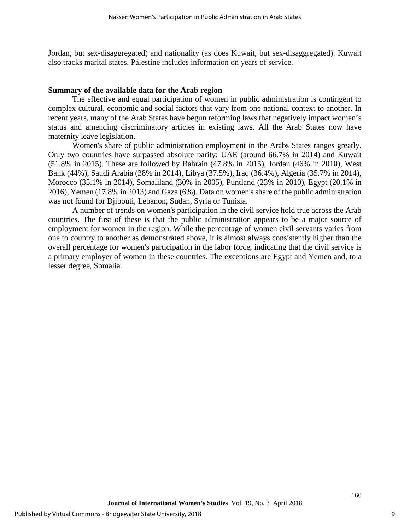Jordan, but sex-disaggregated) and nationality (as does Kuwait, but sex-disaggregated). Kuwait also tracks marital states. Palestine includes information on years of service.

#### **Summary of the available data for the Arab region**

The effective and equal participation of women in public administration is contingent to complex cultural, economic and social factors that vary from one national context to another. In recent years, many of the Arab States have begun reforming laws that negatively impact women's status and amending discriminatory articles in existing laws. All the Arab States now have maternity leave legislation.

Women's share of public administration employment in the Arabs States ranges greatly. Only two countries have surpassed absolute parity: UAE (around 66.7% in 2014) and Kuwait (51.8% in 2015). These are followed by Bahrain (47.8% in 2015), Jordan (46% in 2010), West Bank (44%), Saudi Arabia (38% in 2014), Libya (37.5%), Iraq (36.4%), Algeria (35.7% in 2014), Morocco (35.1% in 2014), Somaliland (30% in 2005), Puntland (23% in 2010), Egypt (20.1% in 2016), Yemen (17.8% in 2013) and Gaza (6%). Data on women's share of the public administration was not found for Djibouti, Lebanon, Sudan, Syria or Tunisia.

A number of trends on women's participation in the civil service hold true across the Arab countries. The first of these is that the public administration appears to be a major source of employment for women in the region. While the percentage of women civil servants varies from one to country to another as demonstrated above, it is almost always consistently higher than the overall percentage for women's participation in the labor force, indicating that the civil service is a primary employer of women in these countries. The exceptions are Egypt and Yemen and, to a lesser degree, Somalia.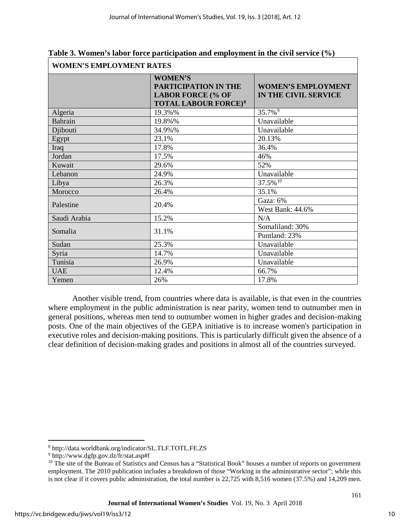| WOMEN'S EMPLOYMENT RATES |                                                                                                   |                                                   |  |  |  |
|--------------------------|---------------------------------------------------------------------------------------------------|---------------------------------------------------|--|--|--|
|                          | <b>WOMEN'S</b><br>PARTICIPATION IN THE<br><b>LABOR FORCE (% OF</b><br><b>TOTAL LABOUR FORCE)8</b> | <b>WOMEN'S EMPLOYMENT</b><br>IN THE CIVIL SERVICE |  |  |  |
| Algeria                  | 19.3%%                                                                                            | $35.7\%$ <sup>9</sup>                             |  |  |  |
| Bahrain                  | 19.8%%                                                                                            | Unavailable                                       |  |  |  |
| Djibouti                 | 34.9%%                                                                                            | Unavailable                                       |  |  |  |
| Egypt                    | 23.1%                                                                                             | 20.13%                                            |  |  |  |
| Iraq                     | 17.8%                                                                                             | 36.4%                                             |  |  |  |
| Jordan                   | 17.5%                                                                                             | 46%                                               |  |  |  |
| Kuwait                   | 29.6%                                                                                             | 52%                                               |  |  |  |
| Lebanon                  | 24.9%                                                                                             | Unavailable                                       |  |  |  |
| Libya                    | 26.3%                                                                                             | $37.5\overline{\frac{9}{6}}$ <sup>10</sup>        |  |  |  |
| Morocco                  | 26.4%                                                                                             | 35.1%                                             |  |  |  |
| Palestine                | 20.4%                                                                                             | Gaza: 6%                                          |  |  |  |
|                          |                                                                                                   | West Bank: 44.6%                                  |  |  |  |
| Saudi Arabia             | 15.2%                                                                                             | N/A                                               |  |  |  |
| Somalia                  | 31.1%                                                                                             | Somaliland: 30%                                   |  |  |  |
|                          |                                                                                                   | Puntland: 23%                                     |  |  |  |
| Sudan                    | 25.3%                                                                                             | Unavailable                                       |  |  |  |
| Syria                    | 14.7%                                                                                             | Unavailable                                       |  |  |  |
| Tunisia                  | 26.9%                                                                                             | Unavailable                                       |  |  |  |
| <b>UAE</b>               | 12.4%                                                                                             | 66.7%                                             |  |  |  |
| Yemen                    | 26%                                                                                               | 17.8%                                             |  |  |  |

**Table 3. Women's labor force participation and employment in the civil service (%) WOMEN'S EMPLOYMENT RATES**

Another visible trend, from countries where data is available, is that even in the countries where employment in the public administration is near parity, women tend to outnumber men in general positions, whereas men tend to outnumber women in higher grades and decision-making posts. One of the main objectives of the GEPA initiative is to increase women's participation in executive roles and decision-making positions. This is particularly difficult given the absence of a clear definition of decision-making grades and positions in almost all of the countries surveyed.

 $\overline{a}$ 

<span id="page-10-0"></span><sup>8</sup> http://data.worldbank.org/indicator/SL.TLF.TOTL.FE.ZS

<span id="page-10-1"></span><sup>9</sup> http://www.dgfp.gov.dz/fr/stat.asp#f

<span id="page-10-2"></span><sup>&</sup>lt;sup>10</sup> The site of the Bureau of Statistics and Census has a "Statistical Book" houses a number of reports on government employment. The 2010 publication includes a breakdown of those "Working in the administrative sector"; while this is not clear if it covers public administration, the total number is 22,725 with 8,516 women (37.5%) and 14,209 men.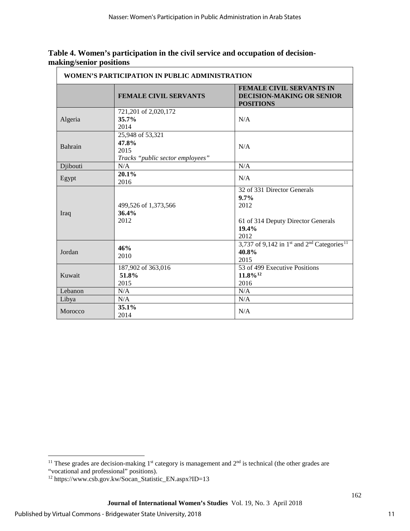|                         | Table 4. Women's participation in the civil service and occupation of decision- |
|-------------------------|---------------------------------------------------------------------------------|
| making/senior positions |                                                                                 |

| WOMEN'S PARTICIPATION IN PUBLIC ADMINISTRATION |                                                                       |                                                                                                       |  |  |
|------------------------------------------------|-----------------------------------------------------------------------|-------------------------------------------------------------------------------------------------------|--|--|
|                                                | <b>FEMALE CIVIL SERVANTS</b>                                          | <b>FEMALE CIVIL SERVANTS IN</b><br><b>DECISION-MAKING OR SENIOR</b><br><b>POSITIONS</b>               |  |  |
| Algeria                                        | 721,201 of 2,020,172<br>35.7%<br>2014                                 | N/A                                                                                                   |  |  |
| Bahrain                                        | 25,948 of 53,321<br>47.8%<br>2015<br>Tracks "public sector employees" | N/A                                                                                                   |  |  |
| Djibouti                                       | N/A                                                                   | N/A                                                                                                   |  |  |
| Egypt                                          | 20.1%<br>2016                                                         | N/A                                                                                                   |  |  |
| Iraq                                           | 499,526 of 1,373,566<br>36.4%<br>2012                                 | 32 of 331 Director Generals<br>$9.7\%$<br>2012<br>61 of 314 Deputy Director Generals<br>19.4%<br>2012 |  |  |
| Jordan                                         | 46%<br>2010                                                           | 3,737 of 9,142 in 1 <sup>st</sup> and 2 <sup>nd</sup> Categories <sup>11</sup><br>40.8%<br>2015       |  |  |
| Kuwait                                         | 187,902 of 363,016<br>51.8%<br>2015                                   | 53 of 499 Executive Positions<br>$11.8\%$ <sup>12</sup><br>2016                                       |  |  |
| Lebanon                                        | N/A                                                                   | N/A                                                                                                   |  |  |
| Libya                                          | N/A                                                                   | N/A                                                                                                   |  |  |
| Morocco                                        | 35.1%<br>2014                                                         | N/A                                                                                                   |  |  |

 $\overline{a}$ 

<span id="page-11-0"></span><sup>&</sup>lt;sup>11</sup> These grades are decision-making  $1<sup>st</sup>$  category is management and  $2<sup>nd</sup>$  is technical (the other grades are

<span id="page-11-1"></span><sup>&</sup>quot;vocational and professional" positions).<br><sup>12</sup> https://www.csb.gov.kw/Socan\_Statistic\_EN.aspx?ID=13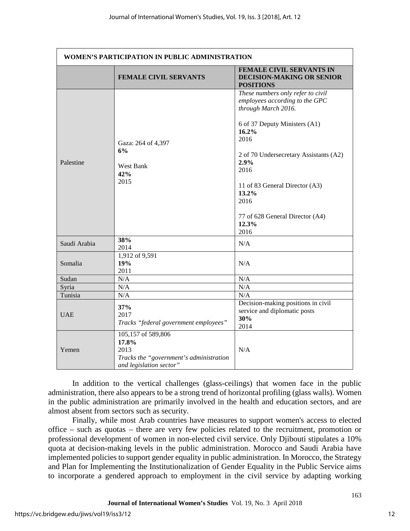| WOMEN'S PARTICIPATION IN PUBLIC ADMINISTRATION |                                                                                                           |                                                                                                                                                                                                                                                                                                               |  |  |
|------------------------------------------------|-----------------------------------------------------------------------------------------------------------|---------------------------------------------------------------------------------------------------------------------------------------------------------------------------------------------------------------------------------------------------------------------------------------------------------------|--|--|
|                                                | <b>FEMALE CIVIL SERVANTS</b>                                                                              | <b>FEMALE CIVIL SERVANTS IN</b><br><b>DECISION-MAKING OR SENIOR</b><br><b>POSITIONS</b>                                                                                                                                                                                                                       |  |  |
| Palestine                                      | Gaza: 264 of 4,397<br>6%<br>West Bank<br>42%<br>2015                                                      | These numbers only refer to civil<br>employees according to the GPC<br>through March 2016.<br>6 of 37 Deputy Ministers (A1)<br>16.2%<br>2016<br>2 of 70 Undersecretary Assistants (A2)<br>2.9%<br>2016<br>11 of 83 General Director (A3)<br>13.2%<br>2016<br>77 of 628 General Director (A4)<br>12.3%<br>2016 |  |  |
| Saudi Arabia                                   | 38%<br>2014                                                                                               | N/A                                                                                                                                                                                                                                                                                                           |  |  |
| Somalia                                        | 1,912 of $\overline{9,591}$<br>19%<br>2011                                                                | N/A                                                                                                                                                                                                                                                                                                           |  |  |
| Sudan                                          | N/A                                                                                                       | N/A                                                                                                                                                                                                                                                                                                           |  |  |
| Syria                                          | N/A                                                                                                       | N/A                                                                                                                                                                                                                                                                                                           |  |  |
| Tunisia                                        | N/A                                                                                                       | N/A                                                                                                                                                                                                                                                                                                           |  |  |
| <b>UAE</b>                                     | 37%<br>2017<br>Tracks "federal government employees"                                                      | Decision-making positions in civil<br>service and diplomatic posts<br>30%<br>2014                                                                                                                                                                                                                             |  |  |
| Yemen                                          | 105,157 of 589,806<br>17.8%<br>2013<br>Tracks the "government's administration<br>and legislation sector" | N/A                                                                                                                                                                                                                                                                                                           |  |  |

In addition to the vertical challenges (glass-ceilings) that women face in the public administration, there also appears to be a strong trend of horizontal profiling (glass walls). Women in the public administration are primarily involved in the health and education sectors, and are almost absent from sectors such as security.

Finally, while most Arab countries have measures to support women's access to elected office – such as quotas – there are very few policies related to the recruitment, promotion or professional development of women in non-elected civil service. Only Djibouti stipulates a 10% quota at decision-making levels in the public administration. Morocco and Saudi Arabia have implemented policies to support gender equality in public administration. In Morocco, the Strategy and Plan for Implementing the Institutionalization of Gender Equality in the Public Service aims to incorporate a gendered approach to employment in the civil service by adapting working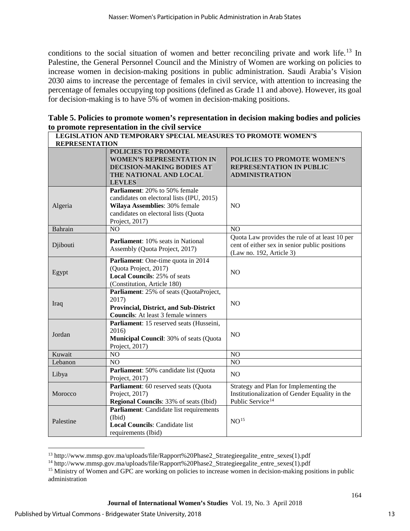conditions to the social situation of women and better reconciling private and work life.<sup>[13](#page-13-0)</sup> In Palestine, the General Personnel Council and the Ministry of Women are working on policies to increase women in decision-making positions in public administration. Saudi Arabia's Vision 2030 aims to increase the percentage of females in civil service, with attention to increasing the percentage of females occupying top positions (defined as Grade 11 and above). However, its goal for decision-making is to have 5% of women in decision-making positions.

| Table 5. Policies to promote women's representation in decision making bodies and policies |
|--------------------------------------------------------------------------------------------|
| to promote representation in the civil service                                             |
|                                                                                            |

| <b>LEGISLATION AND TEMPORARY SPECIAL MEASURES TO PROMOTE WOMEN'S</b> |                                                                               |                                                          |  |  |
|----------------------------------------------------------------------|-------------------------------------------------------------------------------|----------------------------------------------------------|--|--|
| <b>REPRESENTATION</b>                                                |                                                                               |                                                          |  |  |
|                                                                      | <b>POLICIES TO PROMOTE</b>                                                    |                                                          |  |  |
|                                                                      | <b>WOMEN'S REPRESENTATION IN</b>                                              | POLICIES TO PROMOTE WOMEN'S                              |  |  |
|                                                                      | <b>DECISION-MAKING BODIES AT</b><br>THE NATIONAL AND LOCAL                    | <b>REPRESENTATION IN PUBLIC</b><br><b>ADMINISTRATION</b> |  |  |
|                                                                      | <b>LEVLES</b>                                                                 |                                                          |  |  |
|                                                                      | Parliament: 20% to 50% female                                                 |                                                          |  |  |
|                                                                      | candidates on electoral lists (IPU, 2015)                                     |                                                          |  |  |
| Algeria                                                              | Wilaya Assemblies: 30% female                                                 | <b>NO</b>                                                |  |  |
|                                                                      | candidates on electoral lists (Quota                                          |                                                          |  |  |
|                                                                      | Project, 2017)                                                                |                                                          |  |  |
| <b>Bahrain</b>                                                       | NO                                                                            | NO                                                       |  |  |
|                                                                      | Parliament: 10% seats in National                                             | Quota Law provides the rule of at least 10 per           |  |  |
| Djibouti                                                             | Assembly (Quota Project, 2017)                                                | cent of either sex in senior public positions            |  |  |
|                                                                      |                                                                               | (Law no. 192, Article 3)                                 |  |  |
|                                                                      | Parliament: One-time quota in 2014                                            |                                                          |  |  |
| Egypt                                                                | (Quota Project, 2017)                                                         | NO                                                       |  |  |
|                                                                      | Local Councils: 25% of seats                                                  |                                                          |  |  |
|                                                                      | (Constitution, Article 180)                                                   |                                                          |  |  |
|                                                                      | Parliament: 25% of seats (QuotaProject,                                       |                                                          |  |  |
| Iraq                                                                 | 2017)                                                                         | N <sub>O</sub>                                           |  |  |
|                                                                      | Provincial, District, and Sub-District<br>Councils: At least 3 female winners |                                                          |  |  |
|                                                                      | Parliament: 15 reserved seats (Husseini,                                      |                                                          |  |  |
|                                                                      | 2016)                                                                         |                                                          |  |  |
| Jordan                                                               | Municipal Council: 30% of seats (Quota                                        | N <sub>O</sub>                                           |  |  |
|                                                                      | Project, 2017)                                                                |                                                          |  |  |
| Kuwait                                                               | NO                                                                            | NO                                                       |  |  |
| Lebanon                                                              | NO                                                                            | NO                                                       |  |  |
| Libya                                                                | Parliament: 50% candidate list (Quota                                         | NO                                                       |  |  |
|                                                                      | Project, 2017)                                                                |                                                          |  |  |
| Morocco                                                              | Parliament: 60 reserved seats (Quota                                          | Strategy and Plan for Implementing the                   |  |  |
|                                                                      | Project, 2017)                                                                | Institutionalization of Gender Equality in the           |  |  |
|                                                                      | Regional Councils: 33% of seats (Ibid)                                        | Public Service <sup>14</sup>                             |  |  |
|                                                                      | Parliament: Candidate list requirements                                       |                                                          |  |  |
| Palestine                                                            | (Ibid)                                                                        | NO <sup>15</sup>                                         |  |  |
|                                                                      | <b>Local Councils: Candidate list</b>                                         |                                                          |  |  |
|                                                                      | requirements (Ibid)                                                           |                                                          |  |  |

 $\overline{a}$ 

<span id="page-13-2"></span><span id="page-13-1"></span><span id="page-13-0"></span><sup>&</sup>lt;sup>13</sup> http://www.mmsp.gov.ma/uploads/file/Rapport%20Phase2\_Strategieegalite\_entre\_sexes(1).pdf<br><sup>14</sup> http://www.mmsp.gov.ma/uploads/file/Rapport%20Phase2\_Strategieegalite\_entre\_sexes(1).pdf<br><sup>15</sup> Ministry of Women and GPC are administration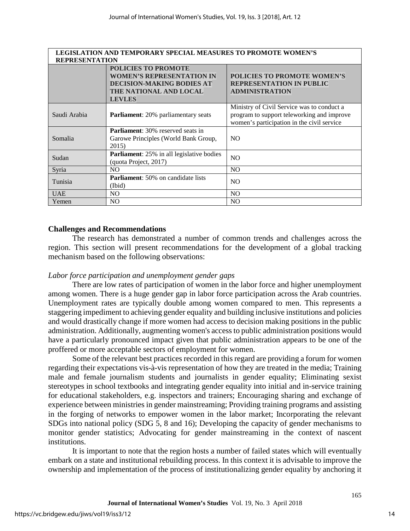| LEGISLATION AND TEMPORARY SPECIAL MEASURES TO PROMOTE WOMEN'S<br><b>REPRESENTATION</b> |                                                                                                                                               |                                                                                                                                        |  |  |
|----------------------------------------------------------------------------------------|-----------------------------------------------------------------------------------------------------------------------------------------------|----------------------------------------------------------------------------------------------------------------------------------------|--|--|
|                                                                                        | <b>POLICIES TO PROMOTE</b><br><b>WOMEN'S REPRESENTATION IN</b><br><b>DECISION-MAKING BODIES AT</b><br>THE NATIONAL AND LOCAL<br><b>LEVLES</b> | <b>POLICIES TO PROMOTE WOMEN'S</b><br><b>REPRESENTATION IN PUBLIC</b><br><b>ADMINISTRATION</b>                                         |  |  |
| Saudi Arabia                                                                           | <b>Parliament:</b> 20% parliamentary seats                                                                                                    | Ministry of Civil Service was to conduct a<br>program to support teleworking and improve<br>women's participation in the civil service |  |  |
| Somalia                                                                                | <b>Parliament:</b> 30% reserved seats in<br>Garowe Principles (World Bank Group,<br>2015)                                                     | N <sub>O</sub>                                                                                                                         |  |  |
| Sudan                                                                                  | <b>Parliament:</b> 25% in all legislative bodies<br>(quota Project, 2017)                                                                     | N <sub>O</sub>                                                                                                                         |  |  |
| Syria                                                                                  | NO.                                                                                                                                           | N <sub>O</sub>                                                                                                                         |  |  |
| Tunisia                                                                                | <b>Parliament:</b> 50% on candidate lists<br>(Ibid)                                                                                           | N <sub>O</sub>                                                                                                                         |  |  |
| <b>UAE</b>                                                                             | NO.                                                                                                                                           | N <sub>O</sub>                                                                                                                         |  |  |
| Yemen                                                                                  | NO.                                                                                                                                           | NO                                                                                                                                     |  |  |

#### **Challenges and Recommendations**

The research has demonstrated a number of common trends and challenges across the region. This section will present recommendations for the development of a global tracking mechanism based on the following observations:

#### *Labor force participation and unemployment gender gaps*

There are low rates of participation of women in the labor force and higher unemployment among women. There is a huge gender gap in labor force participation across the Arab countries. Unemployment rates are typically double among women compared to men. This represents a staggering impediment to achieving gender equality and building inclusive institutions and policies and would drastically change if more women had access to decision making positions in the public administration. Additionally, augmenting women's accessto public administration positions would have a particularly pronounced impact given that public administration appears to be one of the proffered or more acceptable sectors of employment for women.

Some of the relevant best practices recorded in this regard are providing a forum for women regarding their expectations vis-à-vis representation of how they are treated in the media; Training male and female journalism students and journalists in gender equality; Eliminating sexist stereotypes in school textbooks and integrating gender equality into initial and in-service training for educational stakeholders, e.g. inspectors and trainers; Encouraging sharing and exchange of experience between ministries in gender mainstreaming; Providing training programs and assisting in the forging of networks to empower women in the labor market; Incorporating the relevant SDGs into national policy (SDG 5, 8 and 16); Developing the capacity of gender mechanisms to monitor gender statistics; Advocating for gender mainstreaming in the context of nascent institutions.

It is important to note that the region hosts a number of failed states which will eventually embark on a state and institutional rebuilding process. In this context it is advisable to improve the ownership and implementation of the process of institutionalizing gender equality by anchoring it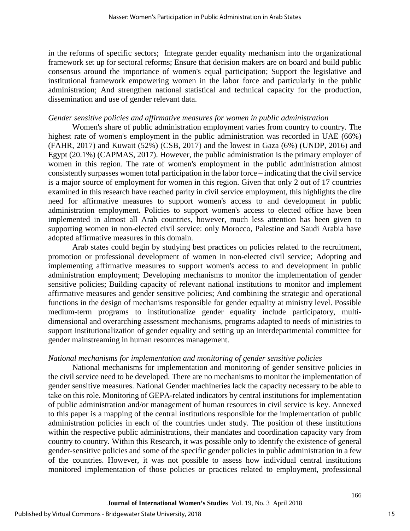in the reforms of specific sectors; Integrate gender equality mechanism into the organizational framework set up for sectoral reforms; Ensure that decision makers are on board and build public consensus around the importance of women's equal participation; Support the legislative and institutional framework empowering women in the labor force and particularly in the public administration; And strengthen national statistical and technical capacity for the production, dissemination and use of gender relevant data.

#### *Gender sensitive policies and affirmative measures for women in public administration*

Women's share of public administration employment varies from country to country. The highest rate of women's employment in the public administration was recorded in UAE (66%) (FAHR, 2017) and Kuwait (52%) (CSB, 2017) and the lowest in Gaza (6%) (UNDP, 2016) and Egypt (20.1%) (CAPMAS, 2017). However, the public administration is the primary employer of women in this region. The rate of women's employment in the public administration almost consistently surpasses women total participation in the labor force – indicating that the civil service is a major source of employment for women in this region. Given that only 2 out of 17 countries examined in this research have reached parity in civil service employment, this highlights the dire need for affirmative measures to support women's access to and development in public administration employment. Policies to support women's access to elected office have been implemented in almost all Arab countries, however, much less attention has been given to supporting women in non-elected civil service: only Morocco, Palestine and Saudi Arabia have adopted affirmative measures in this domain.

Arab states could begin by studying best practices on policies related to the recruitment, promotion or professional development of women in non-elected civil service; Adopting and implementing affirmative measures to support women's access to and development in public administration employment; Developing mechanisms to monitor the implementation of gender sensitive policies; Building capacity of relevant national institutions to monitor and implement affirmative measures and gender sensitive policies; And combining the strategic and operational functions in the design of mechanisms responsible for gender equality at ministry level. Possible medium-term programs to institutionalize gender equality include participatory, multidimensional and overarching assessment mechanisms, programs adapted to needs of ministries to support institutionalization of gender equality and setting up an interdepartmental committee for gender mainstreaming in human resources management.

#### *National mechanisms for implementation and monitoring of gender sensitive policies*

National mechanisms for implementation and monitoring of gender sensitive policies in the civil service need to be developed. There are no mechanisms to monitor the implementation of gender sensitive measures. National Gender machineries lack the capacity necessary to be able to take on this role. Monitoring of GEPA-related indicators by central institutions for implementation of public administration and/or management of human resources in civil service is key. Annexed to this paper is a mapping of the central institutions responsible for the implementation of public administration policies in each of the countries under study. The position of these institutions within the respective public administrations, their mandates and coordination capacity vary from country to country. Within this Research, it was possible only to identify the existence of general gender-sensitive policies and some of the specific gender policies in public administration in a few of the countries. However, it was not possible to assess how individual central institutions monitored implementation of those policies or practices related to employment, professional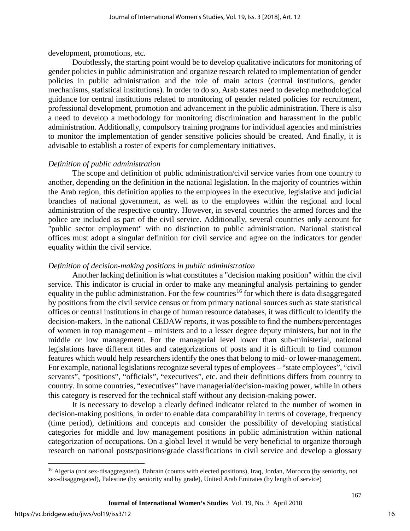development, promotions, etc.

Doubtlessly, the starting point would be to develop qualitative indicators for monitoring of gender policies in public administration and organize research related to implementation of gender policies in public administration and the role of main actors (central institutions, gender mechanisms, statistical institutions). In order to do so, Arab states need to develop methodological guidance for central institutions related to monitoring of gender related policies for recruitment, professional development, promotion and advancement in the public administration. There is also a need to develop a methodology for monitoring discrimination and harassment in the public administration. Additionally, compulsory training programs for individual agencies and ministries to monitor the implementation of gender sensitive policies should be created. And finally, it is advisable to establish a roster of experts for complementary initiatives.

#### *Definition of public administration*

The scope and definition of public administration/civil service varies from one country to another, depending on the definition in the national legislation. In the majority of countries within the Arab region, this definition applies to the employees in the executive, legislative and judicial branches of national government, as well as to the employees within the regional and local administration of the respective country. However, in several countries the armed forces and the police are included as part of the civil service. Additionally, several countries only account for "public sector employment" with no distinction to public administration. National statistical offices must adopt a singular definition for civil service and agree on the indicators for gender equality within the civil service.

#### *Definition of decision-making positions in public administration*

Another lacking definition is what constitutes a "decision making position" within the civil service. This indicator is crucial in order to make any meaningful analysis pertaining to gender equality in the public administration. For the few countries<sup>[16](#page-16-0)</sup> for which there is data disaggregated by positions from the civil service census or from primary national sources such as state statistical offices or central institutions in charge of human resource databases, it was difficult to identify the decision-makers. In the national CEDAW reports, it was possible to find the numbers/percentages of women in top management – ministers and to a lesser degree deputy ministers, but not in the middle or low management. For the managerial level lower than sub-ministerial, national legislations have different titles and categorizations of posts and it is difficult to find common features which would help researchers identify the ones that belong to mid- or lower-management. For example, national legislations recognize several types of employees – "state employees", "civil servants", "positions", "officials", "executives", etc. and their definitions differs from country to country. In some countries, "executives" have managerial/decision-making power, while in others this category is reserved for the technical staff without any decision-making power.

It is necessary to develop a clearly defined indicator related to the number of women in decision-making positions, in order to enable data comparability in terms of coverage, frequency (time period), definitions and concepts and consider the possibility of developing statistical categories for middle and low management positions in public administration within national categorization of occupations. On a global level it would be very beneficial to organize thorough research on national posts/positions/grade classifications in civil service and develop a glossary

 $\overline{a}$ 

<span id="page-16-0"></span><sup>16</sup> Algeria (not sex-disaggregated), Bahrain (counts with elected positions), Iraq, Jordan, Morocco (by seniority, not sex-disaggregated), Palestine (by seniority and by grade), United Arab Emirates (by length of service)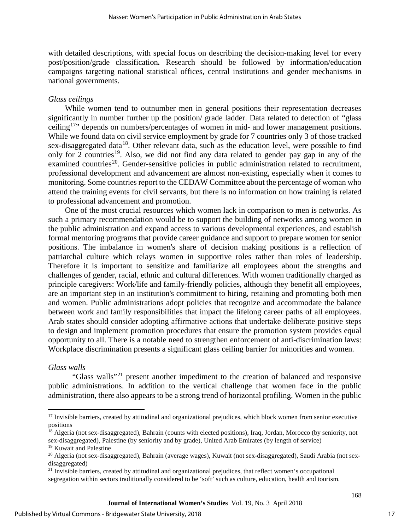with detailed descriptions, with special focus on describing the decision-making level for every post/position/grade classification*.* Research should be followed by information/education campaigns targeting national statistical offices, central institutions and gender mechanisms in national governments.

#### *Glass ceilings*

While women tend to outnumber men in general positions their representation decreases significantly in number further up the position/ grade ladder. Data related to detection of "glass ceiling<sup>[17](#page-17-0)</sup>" depends on numbers/percentages of women in mid- and lower management positions. While we found data on civil service employment by grade for 7 countries only 3 of those tracked sex-disaggregated data<sup>[18](#page-17-1)</sup>. Other relevant data, such as the education level, were possible to find only for 2 countries<sup>[19](#page-17-2)</sup>. Also, we did not find any data related to gender pay gap in any of the examined countries<sup>20</sup>. Gender-sensitive policies in public administration related to recruitment, professional development and advancement are almost non-existing, especially when it comes to monitoring. Some countries report to the CEDAW Committee about the percentage of woman who attend the training events for civil servants, but there is no information on how training is related to professional advancement and promotion.

One of the most crucial resources which women lack in comparison to men is networks. As such a primary recommendation would be to support the building of networks among women in the public administration and expand access to various developmental experiences, and establish formal mentoring programs that provide career guidance and support to prepare women for senior positions. The imbalance in women's share of decision making positions is a reflection of patriarchal culture which relays women in supportive roles rather than roles of leadership. Therefore it is important to sensitize and familiarize all employees about the strengths and challenges of gender, racial, ethnic and cultural differences. With women traditionally charged as principle caregivers: Work/life and family-friendly policies, although they benefit all employees, are an important step in an institution's commitment to hiring, retaining and promoting both men and women. Public administrations adopt policies that recognize and accommodate the balance between work and family responsibilities that impact the lifelong career paths of all employees. Arab states should consider adopting affirmative actions that undertake deliberate positive steps to design and implement promotion procedures that ensure the promotion system provides equal opportunity to all. There is a notable need to strengthen enforcement of anti-discrimination laws: Workplace discrimination presents a significant glass ceiling barrier for minorities and women.

#### *Glass walls*

 $\overline{a}$ 

"Glass walls"<sup>[21](#page-17-4)</sup> present another impediment to the creation of balanced and responsive public administrations. In addition to the vertical challenge that women face in the public administration, there also appears to be a strong trend of horizontal profiling. Women in the public

<span id="page-17-0"></span><sup>&</sup>lt;sup>17</sup> Invisible barriers, created by attitudinal and organizational prejudices, which block women from senior executive positions

<span id="page-17-1"></span> $^{18}$  Algeria (not sex-disaggregated), Bahrain (counts with elected positions), Iraq, Jordan, Morocco (by seniority, not sex-disaggregated), Palestine (by seniority and by grade), United Arab Emirates (by length of service)

<sup>&</sup>lt;sup>19</sup> Kuwait and Palestine

<span id="page-17-3"></span><span id="page-17-2"></span><sup>&</sup>lt;sup>20</sup> Algeria (not sex-disaggregated), Bahrain (average wages), Kuwait (not sex-disaggregated), Saudi Arabia (not sexdisaggregated)

<span id="page-17-4"></span> $21$  Invisible barriers, created by attitudinal and organizational prejudices, that reflect women's occupational segregation within sectors traditionally considered to be 'soft' such as culture, education, health and tourism.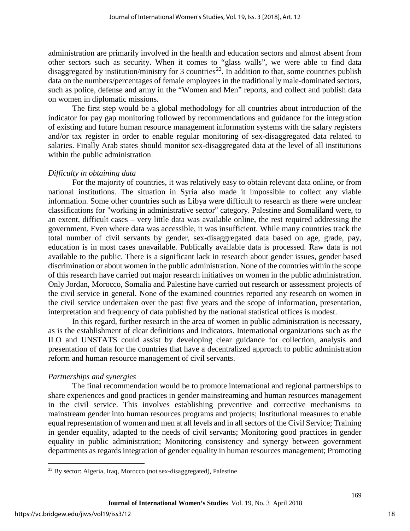administration are primarily involved in the health and education sectors and almost absent from other sectors such as security. When it comes to "glass walls", we were able to find data disaggregated by institution/ministry for 3 countries<sup>22</sup>. In addition to that, some countries publish data on the numbers/percentages of female employees in the traditionally male-dominated sectors, such as police, defense and army in the "Women and Men" reports, and collect and publish data on women in diplomatic missions.

The first step would be a global methodology for all countries about introduction of the indicator for pay gap monitoring followed by recommendations and guidance for the integration of existing and future human resource management information systems with the salary registers and/or tax register in order to enable regular monitoring of sex-disaggregated data related to salaries. Finally Arab states should monitor sex-disaggregated data at the level of all institutions within the public administration

#### *Difficulty in obtaining data*

For the majority of countries, it was relatively easy to obtain relevant data online, or from national institutions. The situation in Syria also made it impossible to collect any viable information. Some other countries such as Libya were difficult to research as there were unclear classifications for "working in administrative sector" category. Palestine and Somaliland were, to an extent, difficult cases – very little data was available online, the rest required addressing the government. Even where data was accessible, it was insufficient. While many countries track the total number of civil servants by gender, sex-disaggregated data based on age, grade, pay, education is in most cases unavailable. Publically available data is processed. Raw data is not available to the public. There is a significant lack in research about gender issues, gender based discrimination or about women in the public administration. None of the countries within the scope of this research have carried out major research initiatives on women in the public administration. Only Jordan, Morocco, Somalia and Palestine have carried out research or assessment projects of the civil service in general. None of the examined countries reported any research on women in the civil service undertaken over the past five years and the scope of information, presentation, interpretation and frequency of data published by the national statistical offices is modest.

In this regard, further research in the area of women in public administration is necessary, as is the establishment of clear definitions and indicators. International organizations such as the ILO and UNSTATS could assist by developing clear guidance for collection, analysis and presentation of data for the countries that have a decentralized approach to public administration reform and human resource management of civil servants.

#### *Partnerships and synergies*

The final recommendation would be to promote international and regional partnerships to share experiences and good practices in gender mainstreaming and human resources management in the civil service. This involves establishing preventive and corrective mechanisms to mainstream gender into human resources programs and projects; Institutional measures to enable equal representation of women and men at all levels and in all sectors of the Civil Service; Training in gender equality, adapted to the needs of civil servants; Monitoring good practices in gender equality in public administration; Monitoring consistency and synergy between government departments as regards integration of gender equality in human resources management; Promoting

 $\overline{a}$ 

<span id="page-18-0"></span> $22$  By sector: Algeria, Iraq, Morocco (not sex-disaggregated), Palestine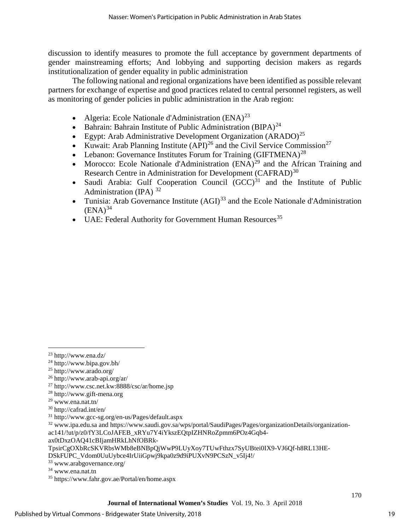discussion to identify measures to promote the full acceptance by government departments of gender mainstreaming efforts; And lobbying and supporting decision makers as regards institutionalization of gender equality in public administration

The following national and regional organizations have been identified as possible relevant partners for exchange of expertise and good practices related to central personnel registers, as well as monitoring of gender policies in public administration in the Arab region:

- Algeria: Ecole Nationale d'Administration  $(ENA)^{23}$  $(ENA)^{23}$  $(ENA)^{23}$
- Bahrain: Bahrain Institute of Public Administration  $(BIPA)^{24}$  $(BIPA)^{24}$  $(BIPA)^{24}$
- Egypt: Arab Administrative Development Organization  $(ARADO)^{25}$  $(ARADO)^{25}$  $(ARADO)^{25}$
- Kuwait: Arab Planning Institute  $(API)^{26}$  $(API)^{26}$  $(API)^{26}$  and the Civil Service Commission<sup>[27](#page-19-4)</sup>
- Lebanon: Governance Institutes Forum for Training  $(GIFTMENA)^{28}$  $(GIFTMENA)^{28}$  $(GIFTMENA)^{28}$
- Morocco: Ecole Nationale d'Administration  $(ENA)^{29}$  $(ENA)^{29}$  $(ENA)^{29}$  and the African Training and Research Centre in Administration for Development (CAFRAD)<sup>[30](#page-19-7)</sup>
- Saudi Arabia: Gulf Cooperation Council  $(GCC)^{31}$  $(GCC)^{31}$  $(GCC)^{31}$  and the Institute of Public Administration (IPA)<sup>[32](#page-19-9)</sup>
- Tunisia: Arab Governance Institute  $(AGI)^{33}$  $(AGI)^{33}$  $(AGI)^{33}$  and the Ecole Nationale d'Administration  $(ENA)^{34}$  $(ENA)^{34}$  $(ENA)^{34}$
- UAE: Federal Authority for Government Human Resources<sup>35</sup>

 $\overline{a}$ 

ax0tDxzOAQ41cBIjamHRkLhNfOBRk-

TpsirCgOXbRcSKVRbsWMb8eBNBpQjWwP9LUyXoy7TUwFthzx7SyUBtei0IX9-VJ6Qf-h8RL13HE-

<span id="page-19-2"></span>

<span id="page-19-3"></span>

<span id="page-19-4"></span>

<span id="page-19-5"></span>

<span id="page-19-6"></span>

<span id="page-19-7"></span>

<span id="page-19-9"></span><span id="page-19-8"></span>

<span id="page-19-1"></span><span id="page-19-0"></span><sup>&</sup>lt;sup>23</sup> http://www.ena.dz/<br>
<sup>24</sup> http://www.bipa.gov.bh/<br>
<sup>25</sup> http://www.arado.org/<br>
<sup>26</sup> http://www.arab-api.org/ar/<br>
<sup>27</sup> http://www.esc.net.kw:8888/csc/ar/home.jsp<br>
<sup>28</sup> http://www.esc.net.kw:8888/csc/ar/home.jsp<br>
<sup>29</sup> w ac141/!ut/p/z0/fY3LCoJAFEB\_xRYu7Y4iYkszEQtpIZHNRoZpmm6POz4Gqb4-

DSkFUPC\_Vdom0UuUybce4IrUiiGpwj9kpa0z9d9iPUXvN9PCSzN\_v5Ij4!/<br><sup>33</sup> www.arabgovernance.org/<br><sup>34</sup> www.ena.nat.tn<br><sup>35</sup> https://www.fahr.gov.ae/Portal/en/home.aspx

<span id="page-19-10"></span>

<span id="page-19-11"></span>

<span id="page-19-12"></span>